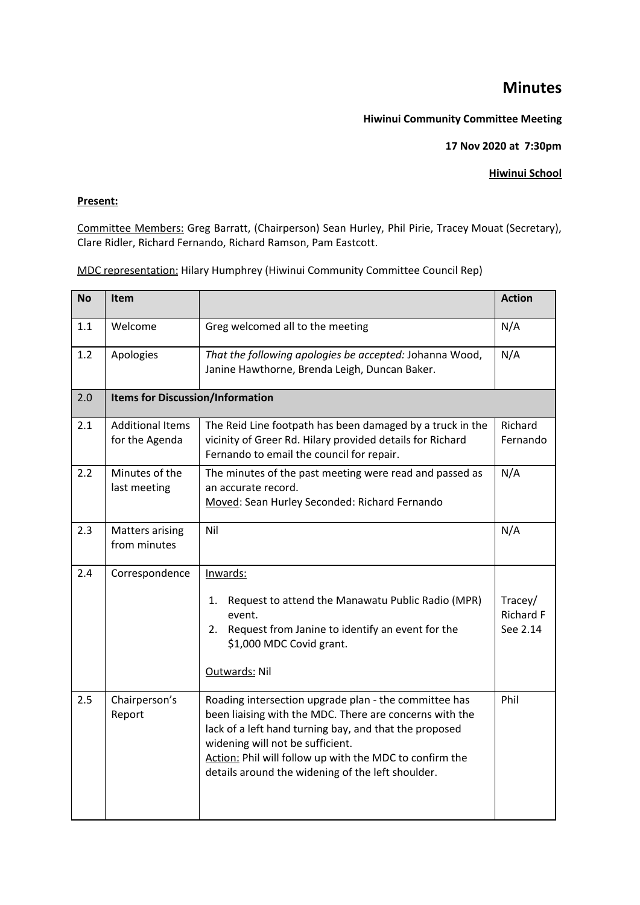## **Minutes**

## **Hiwinui Community Committee Meeting**

**17 Nov 2020 at 7:30pm**

## **Hiwinui School**

## **Present:**

Committee Members: Greg Barratt, (Chairperson) Sean Hurley, Phil Pirie, Tracey Mouat (Secretary), Clare Ridler, Richard Fernando, Richard Ramson, Pam Eastcott.

MDC representation: Hilary Humphrey (Hiwinui Community Committee Council Rep)

| <b>No</b> | Item                                      |                                                                                                                                                                                                                                                                                                                                | <b>Action</b>                           |  |
|-----------|-------------------------------------------|--------------------------------------------------------------------------------------------------------------------------------------------------------------------------------------------------------------------------------------------------------------------------------------------------------------------------------|-----------------------------------------|--|
| 1.1       | Welcome                                   | Greg welcomed all to the meeting                                                                                                                                                                                                                                                                                               | N/A                                     |  |
| 1.2       | Apologies                                 | That the following apologies be accepted: Johanna Wood,<br>Janine Hawthorne, Brenda Leigh, Duncan Baker.                                                                                                                                                                                                                       | N/A                                     |  |
| 2.0       |                                           | <b>Items for Discussion/Information</b>                                                                                                                                                                                                                                                                                        |                                         |  |
| 2.1       | <b>Additional Items</b><br>for the Agenda | The Reid Line footpath has been damaged by a truck in the<br>vicinity of Greer Rd. Hilary provided details for Richard<br>Fernando to email the council for repair.                                                                                                                                                            | Richard<br>Fernando                     |  |
| 2.2       | Minutes of the<br>last meeting            | The minutes of the past meeting were read and passed as<br>an accurate record.<br>Moved: Sean Hurley Seconded: Richard Fernando                                                                                                                                                                                                | N/A                                     |  |
| 2.3       | <b>Matters arising</b><br>from minutes    | Nil                                                                                                                                                                                                                                                                                                                            | N/A                                     |  |
| 2.4       | Correspondence                            | Inwards:<br>Request to attend the Manawatu Public Radio (MPR)<br>1.<br>event.<br>Request from Janine to identify an event for the<br>2.<br>\$1,000 MDC Covid grant.<br>Outwards: Nil                                                                                                                                           | Tracey/<br><b>Richard F</b><br>See 2.14 |  |
| 2.5       | Chairperson's<br>Report                   | Roading intersection upgrade plan - the committee has<br>been liaising with the MDC. There are concerns with the<br>lack of a left hand turning bay, and that the proposed<br>widening will not be sufficient.<br>Action: Phil will follow up with the MDC to confirm the<br>details around the widening of the left shoulder. | Phil                                    |  |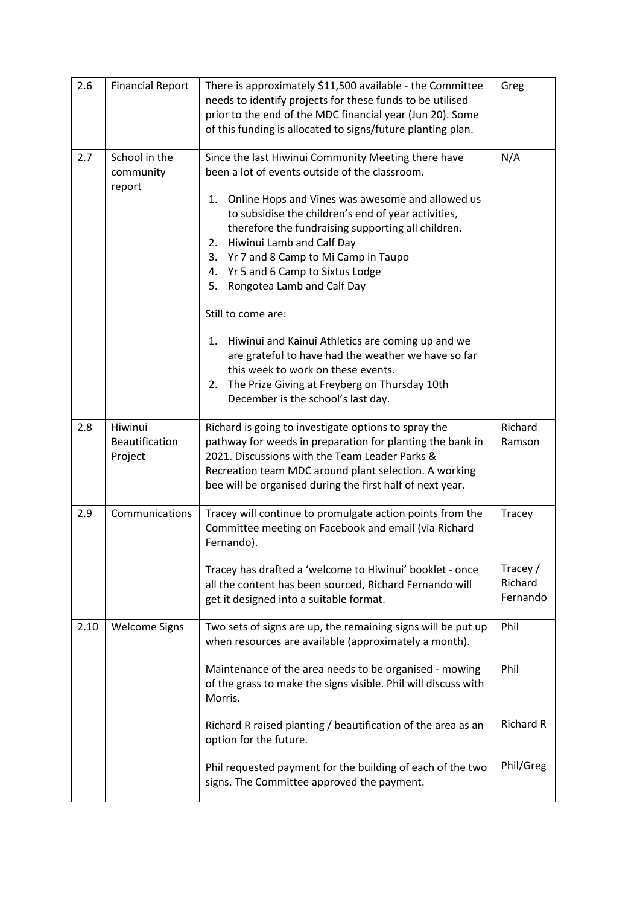| 2.6  | <b>Financial Report</b>                     | There is approximately \$11,500 available - the Committee<br>needs to identify projects for these funds to be utilised<br>prior to the end of the MDC financial year (Jun 20). Some<br>of this funding is allocated to signs/future planting plan.                                                                                                                                                                                                                                                                                                                                                                                                                                                                | Greg                                          |
|------|---------------------------------------------|-------------------------------------------------------------------------------------------------------------------------------------------------------------------------------------------------------------------------------------------------------------------------------------------------------------------------------------------------------------------------------------------------------------------------------------------------------------------------------------------------------------------------------------------------------------------------------------------------------------------------------------------------------------------------------------------------------------------|-----------------------------------------------|
| 2.7  | School in the<br>community<br>report        | Since the last Hiwinui Community Meeting there have<br>been a lot of events outside of the classroom.<br>Online Hops and Vines was awesome and allowed us<br>1.<br>to subsidise the children's end of year activities,<br>therefore the fundraising supporting all children.<br>Hiwinui Lamb and Calf Day<br>2.<br>Yr 7 and 8 Camp to Mi Camp in Taupo<br>3.<br>Yr 5 and 6 Camp to Sixtus Lodge<br>4.<br>5.<br>Rongotea Lamb and Calf Day<br>Still to come are:<br>Hiwinui and Kainui Athletics are coming up and we<br>1.<br>are grateful to have had the weather we have so far<br>this week to work on these events.<br>2. The Prize Giving at Freyberg on Thursday 10th<br>December is the school's last day. | N/A                                           |
| 2.8  | Hiwinui<br><b>Beautification</b><br>Project | Richard is going to investigate options to spray the<br>pathway for weeds in preparation for planting the bank in<br>2021. Discussions with the Team Leader Parks &<br>Recreation team MDC around plant selection. A working<br>bee will be organised during the first half of next year.                                                                                                                                                                                                                                                                                                                                                                                                                         | Richard<br>Ramson                             |
| 2.9  | Communications                              | Tracey will continue to promulgate action points from the<br>Committee meeting on Facebook and email (via Richard<br>Fernando).<br>Tracey has drafted a 'welcome to Hiwinui' booklet - once<br>all the content has been sourced, Richard Fernando will<br>get it designed into a suitable format.                                                                                                                                                                                                                                                                                                                                                                                                                 | Tracey<br>Tracey /<br>Richard<br>Fernando     |
| 2.10 | <b>Welcome Signs</b>                        | Two sets of signs are up, the remaining signs will be put up<br>when resources are available (approximately a month).<br>Maintenance of the area needs to be organised - mowing<br>of the grass to make the signs visible. Phil will discuss with<br>Morris.<br>Richard R raised planting / beautification of the area as an<br>option for the future.<br>Phil requested payment for the building of each of the two                                                                                                                                                                                                                                                                                              | Phil<br>Phil<br><b>Richard R</b><br>Phil/Greg |
|      |                                             | signs. The Committee approved the payment.                                                                                                                                                                                                                                                                                                                                                                                                                                                                                                                                                                                                                                                                        |                                               |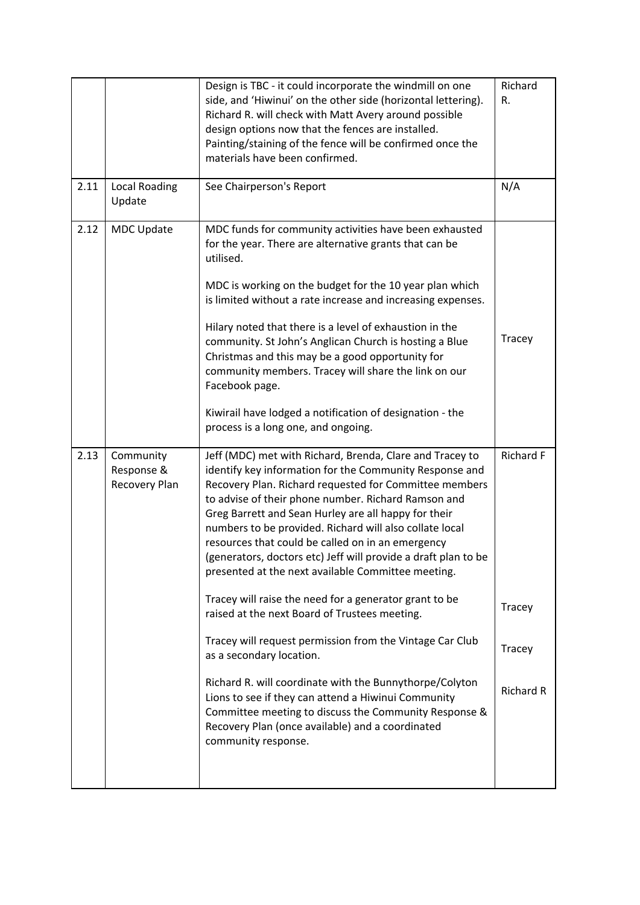|      |                                          | Design is TBC - it could incorporate the windmill on one<br>side, and 'Hiwinui' on the other side (horizontal lettering).<br>Richard R. will check with Matt Avery around possible<br>design options now that the fences are installed.<br>Painting/staining of the fence will be confirmed once the<br>materials have been confirmed.                                                                                                                                                                                                                                                                                                                                                                                                                                                                                                                                                                                                                                                        | Richard<br>R.                                            |
|------|------------------------------------------|-----------------------------------------------------------------------------------------------------------------------------------------------------------------------------------------------------------------------------------------------------------------------------------------------------------------------------------------------------------------------------------------------------------------------------------------------------------------------------------------------------------------------------------------------------------------------------------------------------------------------------------------------------------------------------------------------------------------------------------------------------------------------------------------------------------------------------------------------------------------------------------------------------------------------------------------------------------------------------------------------|----------------------------------------------------------|
| 2.11 | <b>Local Roading</b><br>Update           | See Chairperson's Report                                                                                                                                                                                                                                                                                                                                                                                                                                                                                                                                                                                                                                                                                                                                                                                                                                                                                                                                                                      | N/A                                                      |
| 2.12 | <b>MDC Update</b>                        | MDC funds for community activities have been exhausted<br>for the year. There are alternative grants that can be<br>utilised.<br>MDC is working on the budget for the 10 year plan which<br>is limited without a rate increase and increasing expenses.<br>Hilary noted that there is a level of exhaustion in the<br>community. St John's Anglican Church is hosting a Blue<br>Christmas and this may be a good opportunity for<br>community members. Tracey will share the link on our<br>Facebook page.<br>Kiwirail have lodged a notification of designation - the<br>process is a long one, and ongoing.                                                                                                                                                                                                                                                                                                                                                                                 | Tracey                                                   |
| 2.13 | Community<br>Response &<br>Recovery Plan | Jeff (MDC) met with Richard, Brenda, Clare and Tracey to<br>identify key information for the Community Response and<br>Recovery Plan. Richard requested for Committee members<br>to advise of their phone number. Richard Ramson and<br>Greg Barrett and Sean Hurley are all happy for their<br>numbers to be provided. Richard will also collate local<br>resources that could be called on in an emergency<br>(generators, doctors etc) Jeff will provide a draft plan to be<br>presented at the next available Committee meeting.<br>Tracey will raise the need for a generator grant to be<br>raised at the next Board of Trustees meeting.<br>Tracey will request permission from the Vintage Car Club<br>as a secondary location.<br>Richard R. will coordinate with the Bunnythorpe/Colyton<br>Lions to see if they can attend a Hiwinui Community<br>Committee meeting to discuss the Community Response &<br>Recovery Plan (once available) and a coordinated<br>community response. | <b>Richard F</b><br>Tracey<br>Tracey<br><b>Richard R</b> |